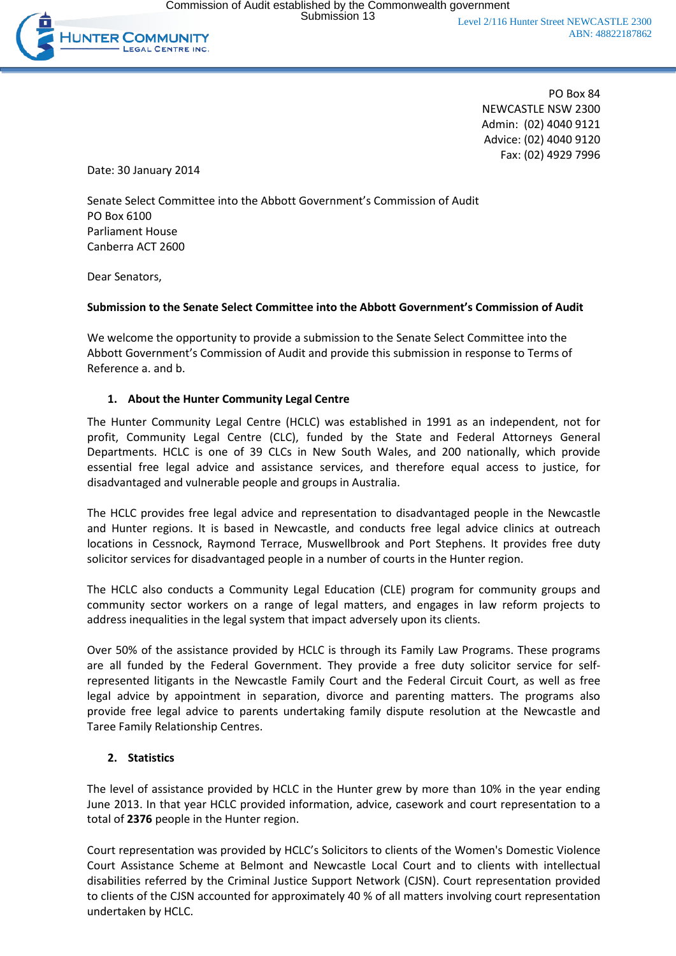

PO Box 84 NEWCASTLE NSW 2300 Admin: (02) 4040 9121 Advice: (02) 4040 9120 Fax: (02) 4929 7996

Date: 30 January 2014

Senate Select Committee into the Abbott Government's Commission of Audit PO Box 6100 Parliament House Canberra ACT 2600

Dear Senators,

### **Submission to the Senate Select Committee into the Abbott Government's Commission of Audit**

We welcome the opportunity to provide a submission to the Senate Select Committee into the Abbott Government's Commission of Audit and provide this submission in response to Terms of Reference a. and b.

### **1. About the Hunter Community Legal Centre**

The Hunter Community Legal Centre (HCLC) was established in 1991 as an independent, not for profit, Community Legal Centre (CLC), funded by the State and Federal Attorneys General Departments. HCLC is one of 39 CLCs in New South Wales, and 200 nationally, which provide essential free legal advice and assistance services, and therefore equal access to justice, for disadvantaged and vulnerable people and groups in Australia.

The HCLC provides free legal advice and representation to disadvantaged people in the Newcastle and Hunter regions. It is based in Newcastle, and conducts free legal advice clinics at outreach locations in Cessnock, Raymond Terrace, Muswellbrook and Port Stephens. It provides free duty solicitor services for disadvantaged people in a number of courts in the Hunter region.

The HCLC also conducts a Community Legal Education (CLE) program for community groups and community sector workers on a range of legal matters, and engages in law reform projects to address inequalities in the legal system that impact adversely upon its clients.

Over 50% of the assistance provided by HCLC is through its Family Law Programs. These programs are all funded by the Federal Government. They provide a free duty solicitor service for selfrepresented litigants in the Newcastle Family Court and the Federal Circuit Court, as well as free legal advice by appointment in separation, divorce and parenting matters. The programs also provide free legal advice to parents undertaking family dispute resolution at the Newcastle and Taree Family Relationship Centres.

## **2. Statistics**

The level of assistance provided by HCLC in the Hunter grew by more than 10% in the year ending June 2013. In that year HCLC provided information, advice, casework and court representation to a total of **2376** people in the Hunter region.

Court representation was provided by HCLC's Solicitors to clients of the Women's Domestic Violence Court Assistance Scheme at Belmont and Newcastle Local Court and to clients with intellectual disabilities referred by the Criminal Justice Support Network (CJSN). Court representation provided to clients of the CJSN accounted for approximately 40 % of all matters involving court representation undertaken by HCLC.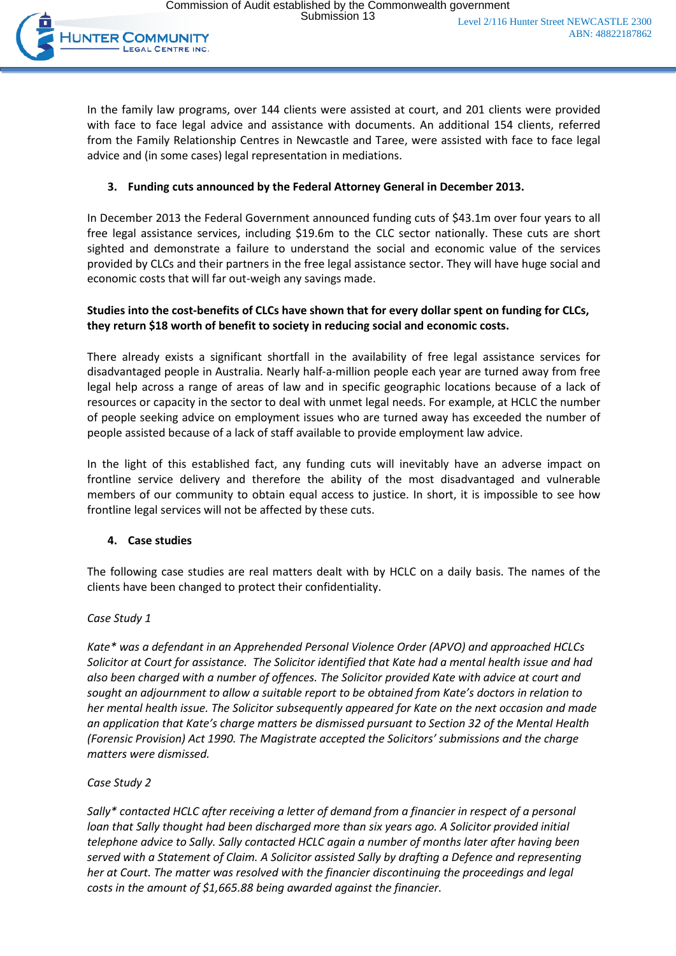

In the family law programs, over 144 clients were assisted at court, and 201 clients were provided with face to face legal advice and assistance with documents. An additional 154 clients, referred from the Family Relationship Centres in Newcastle and Taree, were assisted with face to face legal advice and (in some cases) legal representation in mediations.

# **3. Funding cuts announced by the Federal Attorney General in December 2013.**

In December 2013 the Federal Government announced funding cuts of \$43.1m over four years to all free legal assistance services, including \$19.6m to the CLC sector nationally. These cuts are short sighted and demonstrate a failure to understand the social and economic value of the services provided by CLCs and their partners in the free legal assistance sector. They will have huge social and economic costs that will far out-weigh any savings made.

## **Studies into the cost-benefits of CLCs have shown that for every dollar spent on funding for CLCs, they return \$18 worth of benefit to society in reducing social and economic costs.**

There already exists a significant shortfall in the availability of free legal assistance services for disadvantaged people in Australia. Nearly half-a-million people each year are turned away from free legal help across a range of areas of law and in specific geographic locations because of a lack of resources or capacity in the sector to deal with unmet legal needs. For example, at HCLC the number of people seeking advice on employment issues who are turned away has exceeded the number of people assisted because of a lack of staff available to provide employment law advice.

In the light of this established fact, any funding cuts will inevitably have an adverse impact on frontline service delivery and therefore the ability of the most disadvantaged and vulnerable members of our community to obtain equal access to justice. In short, it is impossible to see how frontline legal services will not be affected by these cuts.

## **4. Case studies**

The following case studies are real matters dealt with by HCLC on a daily basis. The names of the clients have been changed to protect their confidentiality.

## *Case Study 1*

*Kate\* was a defendant in an Apprehended Personal Violence Order (APVO) and approached HCLCs Solicitor at Court for assistance. The Solicitor identified that Kate had a mental health issue and had also been charged with a number of offences. The Solicitor provided Kate with advice at court and sought an adjournment to allow a suitable report to be obtained from Kate's doctors in relation to her mental health issue. The Solicitor subsequently appeared for Kate on the next occasion and made an application that Kate's charge matters be dismissed pursuant to Section 32 of the Mental Health (Forensic Provision) Act 1990. The Magistrate accepted the Solicitors' submissions and the charge matters were dismissed.* 

### *Case Study 2*

*Sally\* contacted HCLC after receiving a letter of demand from a financier in respect of a personal loan that Sally thought had been discharged more than six years ago. A Solicitor provided initial telephone advice to Sally. Sally contacted HCLC again a number of months later after having been served with a Statement of Claim. A Solicitor assisted Sally by drafting a Defence and representing her at Court. The matter was resolved with the financier discontinuing the proceedings and legal costs in the amount of \$1,665.88 being awarded against the financier.*